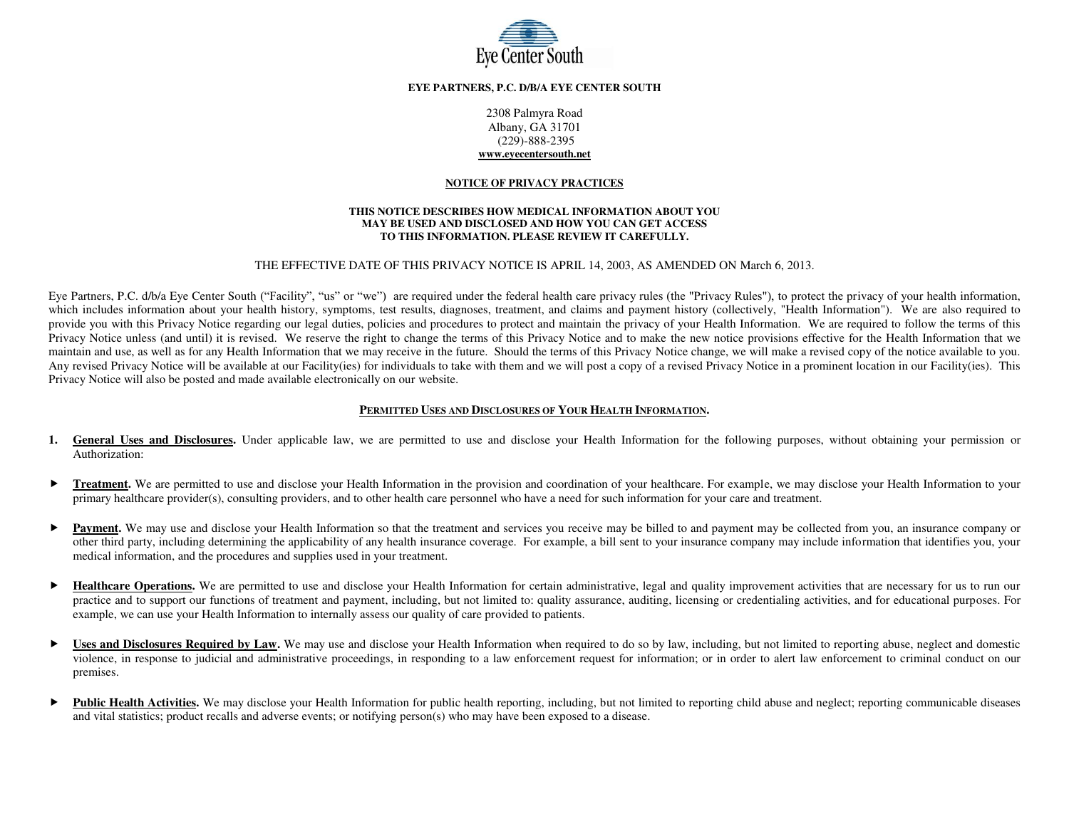

# **EYE PARTNERS, P.C. D/B/A EYE CENTER SOUTH**

2308 Palmyra Road Albany, GA 31701 (229)-888-2395 **[www.eyecentersouth.net](http://www.eyecentersouth.net/)** 

#### **NOTICE OF PRIVACY PRACTICES**

#### **THIS NOTICE DESCRIBES HOW MEDICAL INFORMATION ABOUT YOU MAY BE USED AND DISCLOSED AND HOW YOU CAN GET ACCESS TO THIS INFORMATION. PLEASE REVIEW IT CAREFULLY.**

### THE EFFECTIVE DATE OF THIS PRIVACY NOTICE IS APRIL 14, 2003, AS AMENDED ON March 6, 2013.

Eye Partners, P.C. d/b/a Eye Center South ("Facility", "us" or "we") are required under the federal health care privacy rules (the "Privacy Rules"), to protect the privacy of your health information, which includes information about your health history, symptoms, test results, diagnoses, treatment, and claims and payment history (collectively, "Health Information"). We are also required to provide you with this Privacy Notice regarding our legal duties, policies and procedures to protect and maintain the privacy of your Health Information. We are required to follow the terms of this Privacy Notice unless (and until) it is revised. We reserve the right to change the terms of this Privacy Notice and to make the new notice provisions effective for the Health Information that we maintain and use, as well as for any Health Information that we may receive in the future. Should the terms of this Privacy Notice change, we will make a revised copy of the notice available to you. Any revised Privacy Notice will be available at our Facility(ies) for individuals to take with them and we will post a copy of a revised Privacy Notice in a prominent location in our Facility(ies). This Privacy Notice will also be posted and made available electronically on our website.

# **PERMITTED USES AND DISCLOSURES OF YOUR HEALTH INFORMATION.**

- 1. General Uses and Disclosures. Under applicable law, we are permitted to use and disclose your Health Information for the following purposes, without obtaining your permission or Authorization:
- ▶ Treatment. We are permitted to use and disclose your Health Information in the provision and coordination of your healthcare. For example, we may disclose your Health Information to your primary healthcare provider(s), consulting providers, and to other health care personnel who have a need for such information for your care and treatment.
- **Payment.** We may use and disclose your Health Information so that the treatment and services you receive may be billed to and payment may be collected from you, an insurance company or other third party, including determining the applicability of any health insurance coverage. For example, a bill sent to your insurance company may include information that identifies you, your medical information, and the procedures and supplies used in your treatment.
- **Healthcare Operations.** We are permitted to use and disclose your Health Information for certain administrative, legal and quality improvement activities that are necessary for us to run our practice and to support our functions of treatment and payment, including, but not limited to: quality assurance, auditing, licensing or credentialing activities, and for educational purposes. For example, we can use your Health Information to internally assess our quality of care provided to patients.
- ► Uses and Disclosures Required by Law. We may use and disclose your Health Information when required to do so by law, including, but not limited to reporting abuse, neglect and domestic violence, in response to judicial and administrative proceedings, in responding to a law enforcement request for information; or in order to alert law enforcement to criminal conduct on our premises.
- ► Public Health Activities. We may disclose your Health Information for public health reporting, including, but not limited to reporting child abuse and neglect; reporting communicable diseases and vital statistics; product recalls and adverse events; or notifying person(s) who may have been exposed to a disease.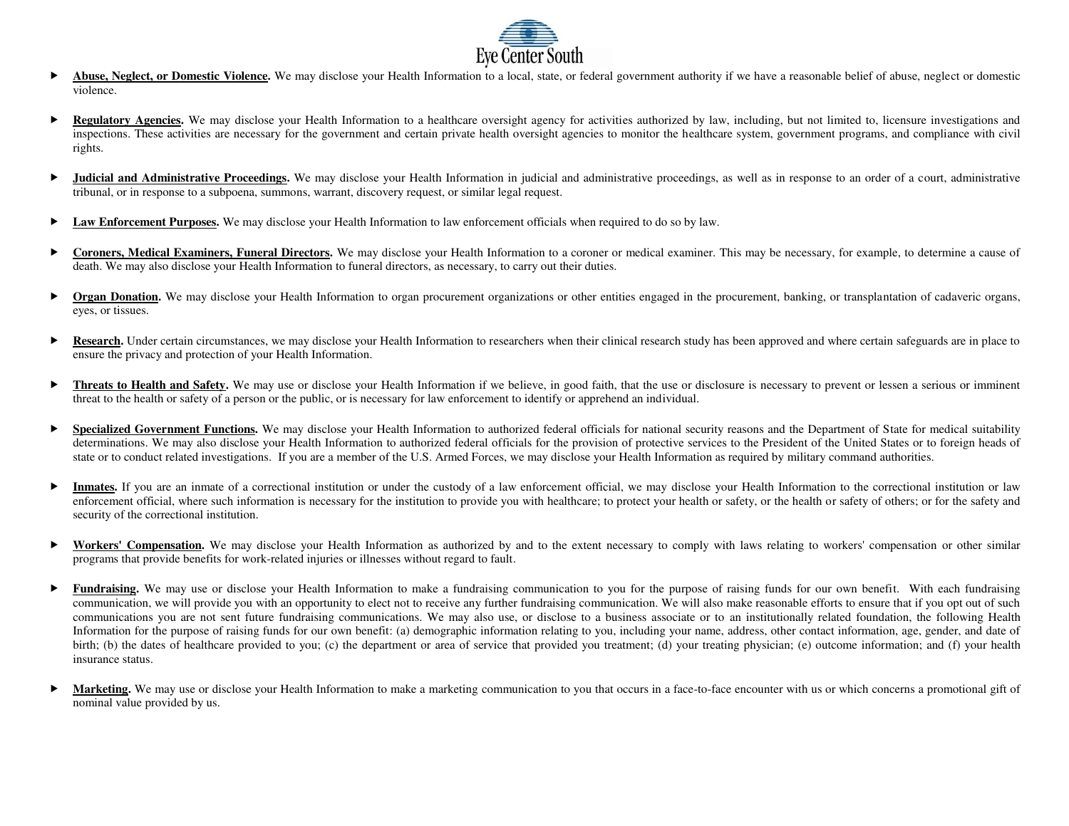

- **Abuse, Neglect, or Domestic Violence.** We may disclose your Health Information to a local, state, or federal government authority if we have a reasonable belief of abuse, neglect or domestic Violence. We may disclose you violence.
- **Regulatory Agencies.** We may disclose your Health Information to a healthcare oversight agency for activities authorized by law, including, but not limited to, licensure investigations and inspections. These activities are necessary for the government and certain private health oversight agencies to monitor the healthcare system, government programs, and compliance with civil rights.
- ▶ **Judicial and Administrative Proceedings.** We may disclose your Health Information in judicial and administrative proceedings, as well as in response to an order of a court, administrative tribunal, or in response to a subpoena, summons, warrant, discovery request, or similar legal request.
- **Law Enforcement Purposes.** We may disclose your Health Information to law enforcement officials when required to do so by law.
- **Coroners, Medical Examiners, Funeral Directors.** We may disclose your Health Information to a coroner or medical examiner. This may be necessary, for example, to determine a cause of death. We may also disclose your Health Information to funeral directors, as necessary, to carry out their duties.
- **Drgan Donation.** We may disclose your Health Information to organ procurement organizations or other entities engaged in the procurement, banking, or transplantation of cadaveric organs, eyes, or tissues.
- **Research.** Under certain circumstances, we may disclose your Health Information to researchers when their clinical research study has been approved and where certain safeguards are in place to ensure the privacy and protection of your Health Information.
- **Threats to Health and Safety.** We may use or disclose your Health Information if we believe, in good faith, that the use or disclosure is necessary to prevent or lessen a serious or imminent threat to the health or safety of a person or the public, or is necessary for law enforcement to identify or apprehend an individual.
- **Specialized Government Functions.** We may disclose your Health Information to authorized federal officials for national security reasons and the Department of State for medical suitability determinations. We may also disclose your Health Information to authorized federal officials for the provision of protective services to the President of the United States or to foreign heads of state or to conduct related investigations. If you are a member of the U.S. Armed Forces, we may disclose your Health Information as required by military command authorities.
- Inmates. If you are an inmate of a correctional institution or under the custody of a law enforcement official, we may disclose your Health Information to the correctional institution or law enforcement official, where such information is necessary for the institution to provide you with healthcare; to protect your health or safety, or the health or safety of others; or for the safety and security of the correctional institution.
- ► Workers' Compensation. We may disclose your Health Information as authorized by and to the extent necessary to comply with laws relating to workers' compensation or other similar programs that provide benefits for work-related injuries or illnesses without regard to fault.
- ► Fundraising. We may use or disclose your Health Information to make a fundraising communication to you for the purpose of raising funds for our own benefit. With each fundraising communication, we will provide you with an opportunity to elect not to receive any further fundraising communication. We will also make reasonable efforts to ensure that if you opt out of such communications you are not sent future fundraising communications. We may also use, or disclose to a business associate or to an institutionally related foundation, the following Health Information for the purpose of raising funds for our own benefit: (a) demographic information relating to you, including your name, address, other contact information, age, gender, and date of birth; (b) the dates of healthcare provided to you; (c) the department or area of service that provided you treatment; (d) your treating physician; (e) outcome information; and (f) your health insurance status.
- Marketing. We may use or disclose your Health Information to make a marketing communication to you that occurs in a face-to-face encounter with us or which concerns a promotional gift of nominal value provided by us.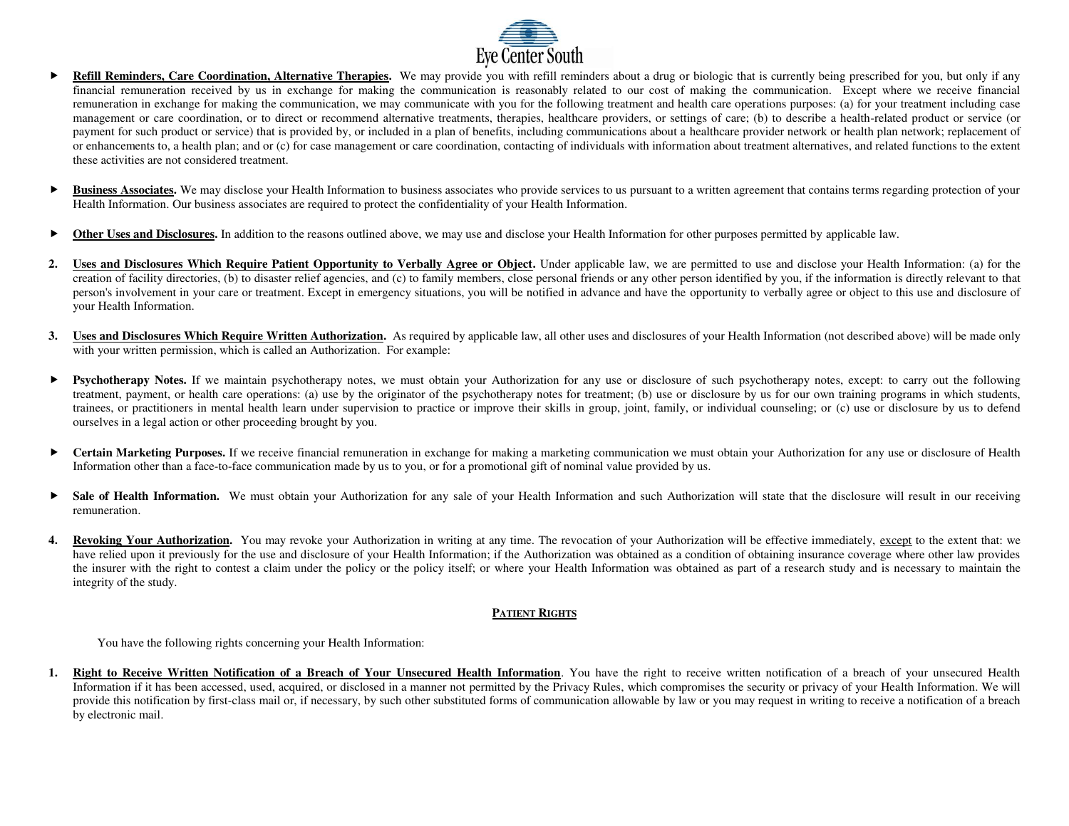

- **Refill Reminders, Care Coordination, Alternative Therapies.** We may provide you with refill reminders about a drug or biologic that is currently being prescribed for you, but only if any financial remuneration received by us in exchange for making the communication is reasonably related to our cost of making the communication. Except where we receive financial remuneration in exchange for making the communication, we may communicate with you for the following treatment and health care operations purposes: (a) for your treatment including case management or care coordination, or to direct or recommend alternative treatments, therapies, healthcare providers, or settings of care; (b) to describe a health-related product or service (or payment for such product or service) that is provided by, or included in a plan of benefits, including communications about a healthcare provider network or health plan network; replacement of or enhancements to, a health plan; and or (c) for case management or care coordination, contacting of individuals with information about treatment alternatives, and related functions to the extent these activities are not considered treatment.
- **Business Associates.** We may disclose your Health Information to business associates who provide services to us pursuant to a written agreement that contains terms regarding protection of your Health Information. Our business associates are required to protect the confidentiality of your Health Information.
- ▶ Other Uses and Disclosures. In addition to the reasons outlined above, we may use and disclose your Health Information for other purposes permitted by applicable law.
- **2.** Uses and Disclosures Which Require Patient Opportunity to Verbally Agree or Object. Under applicable law, we are permitted to use and disclose your Health Information: (a) for the creation of facility directories, (b) to disaster relief agencies, and (c) to family members, close personal friends or any other person identified by you, if the information is directly relevant to that person's involvement in your care or treatment. Except in emergency situations, you will be notified in advance and have the opportunity to verbally agree or object to this use and disclosure of your Health Information.
- **3.** Uses and Disclosures Which Require Written Authorization. As required by applicable law, all other uses and disclosures of your Health Information (not described above) will be made only with your written permission, which is called an Authorization. For example:
- **Psychotherapy Notes.** If we maintain psychotherapy notes, we must obtain your Authorization for any use or disclosure of such psychotherapy notes, except: to carry out the following treatment, payment, or health care operations: (a) use by the originator of the psychotherapy notes for treatment; (b) use or disclosure by us for our own training programs in which students, trainees, or practitioners in mental health learn under supervision to practice or improve their skills in group, joint, family, or individual counseling; or (c) use or disclosure by us to defend ourselves in a legal action or other proceeding brought by you.
- **Certain Marketing Purposes.** If we receive financial remuneration in exchange for making a marketing communication we must obtain your Authorization for any use or disclosure of Health Information other than a face-to-face communication made by us to you, or for a promotional gift of nominal value provided by us.
- **Sale of Health Information.** We must obtain your Authorization for any sale of your Health Information and such Authorization will state that the disclosure will result in our receiving remuneration.
- **4. Revoking Your Authorization.** You may revoke your Authorization in writing at any time. The revocation of your Authorization will be effective immediately, except to the extent that: we have relied upon it previously for the use and disclosure of your Health Information; if the Authorization was obtained as a condition of obtaining insurance coverage where other law provides the insurer with the right to contest a claim under the policy or the policy itself; or where your Health Information was obtained as part of a research study and is necessary to maintain the integrity of the study.

# **PATIENT RIGHTS**

You have the following rights concerning your Health Information:

**1. Right to Receive Written Notification of a Breach of Your Unsecured Health Information**. You have the right to receive written notification of a breach of your unsecured Health Information if it has been accessed, used, acquired, or disclosed in a manner not permitted by the Privacy Rules, which compromises the security or privacy of your Health Information. We will provide this notification by first-class mail or, if necessary, by such other substituted forms of communication allowable by law or you may request in writing to receive a notification of a breach by electronic mail.